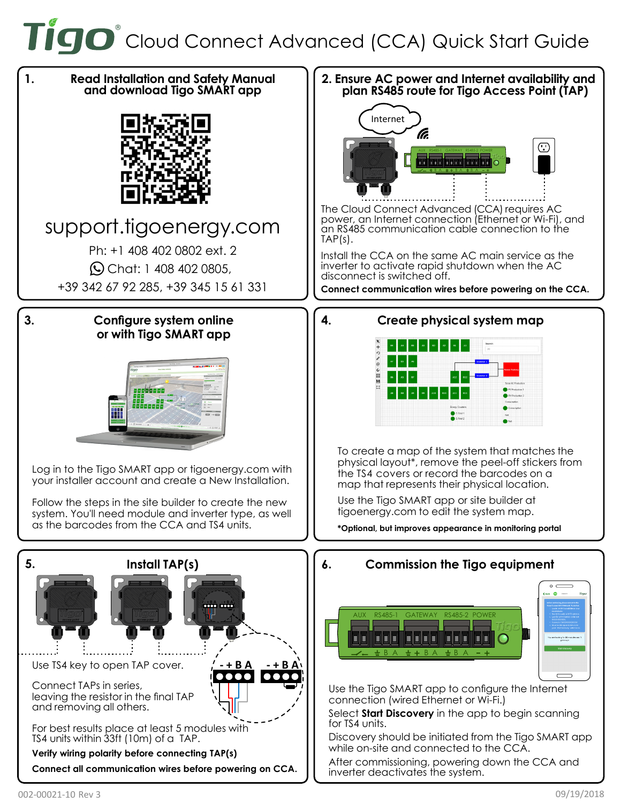TIGO<sup>®</sup> Cloud Connect Advanced (CCA) Quick Start Guide